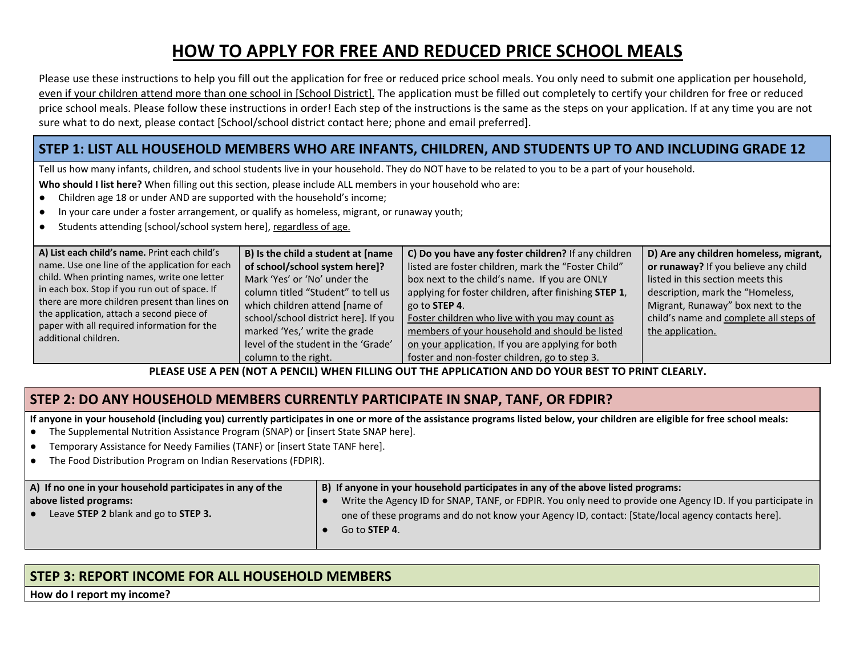# **HOW TO APPLY FOR FREE AND REDUCED PRICE SCHOOL MEALS**

Please use these instructions to help you fill out the application for free or reduced price school meals. You only need to submit one application per household, even if your children attend more than one school in [School District]. The application must be filled out completely to certify your children for free or reduced price school meals. Please follow these instructions in order! Each step of the instructions is the same as the steps on your application. If at any time you are not sure what to do next, please contact [School/school district contact here; phone and email preferred].

### STEP 1: LIST ALL HOUSEHOLD MEMBERS WHO ARE INFANTS, CHILDREN, AND STUDENTS UP TO AND INCLUDING GRADE 12

Tell us how many infants, children, and school students live in your household. They do NOT have to be related to you to be a part of your household.

**Who should I list here?** When filling out this section, please include ALL members in your household who are:

- Children age 18 or under AND are supported with the household's income;
- In your care under a foster arrangement, or qualify as homeless, migrant, or runaway youth;
- Students attending [school/school system here], regardless of age.

| A) List each child's name. Print each child's  | B) Is the child a student at [name   | C) Do you have any foster children? If any children   | D) Are any children homeless, migrant, |
|------------------------------------------------|--------------------------------------|-------------------------------------------------------|----------------------------------------|
| name. Use one line of the application for each | of school/school system here]?       | listed are foster children, mark the "Foster Child"   | or runaway? If you believe any child   |
| child. When printing names, write one letter   | Mark 'Yes' or 'No' under the         | box next to the child's name. If you are ONLY         | listed in this section meets this      |
| in each box. Stop if you run out of space. If  | column titled "Student" to tell us   | applying for foster children, after finishing STEP 1, | description, mark the "Homeless,       |
| there are more children present than lines on  | which children attend [name of       | go to <b>STEP 4</b> .                                 | Migrant, Runaway" box next to the      |
| the application, attach a second piece of      | school/school district here]. If you | Foster children who live with you may count as        | child's name and complete all steps of |
| paper with all required information for the    | marked 'Yes,' write the grade        | members of your household and should be listed        | the application.                       |
| additional children.                           | level of the student in the 'Grade'  | on your application. If you are applying for both     |                                        |
|                                                | column to the right.                 | foster and non-foster children, go to step 3.         |                                        |

PLEASE USE A PEN (NOT A PENCIL) WHEN FILLING OUT THE APPLICATION AND DO YOUR BEST TO PRINT CLEARLY.

## **STEP 2: DO ANY HOUSEHOLD MEMBERS CURRENTLY PARTICIPATE IN SNAP, TANF, OR FDPIR?**

If anyone in your household (including you) currently participates in one or more of the assistance programs listed below, your children are eligible for free school meals:

- The Supplemental Nutrition Assistance Program (SNAP) or [insert State SNAP here].
- Temporary Assistance for Needy Families (TANF) or [insert State TANF here].
- The Food Distribution Program on Indian Reservations (FDPIR).

| A) If no one in your household participates in any of the | B) If anyone in your household participates in any of the above listed programs:                            |
|-----------------------------------------------------------|-------------------------------------------------------------------------------------------------------------|
| above listed programs:                                    | Write the Agency ID for SNAP, TANF, or FDPIR. You only need to provide one Agency ID. If you participate in |
| Leave STEP 2 blank and go to STEP 3.                      | one of these programs and do not know your Agency ID, contact: [State/local agency contacts here].          |
|                                                           | Go to <b>STEP 4.</b>                                                                                        |
|                                                           |                                                                                                             |

## **STEP 3: REPORT INCOME FOR ALL HOUSEHOLD MEMBERS**

**How do I report my income?**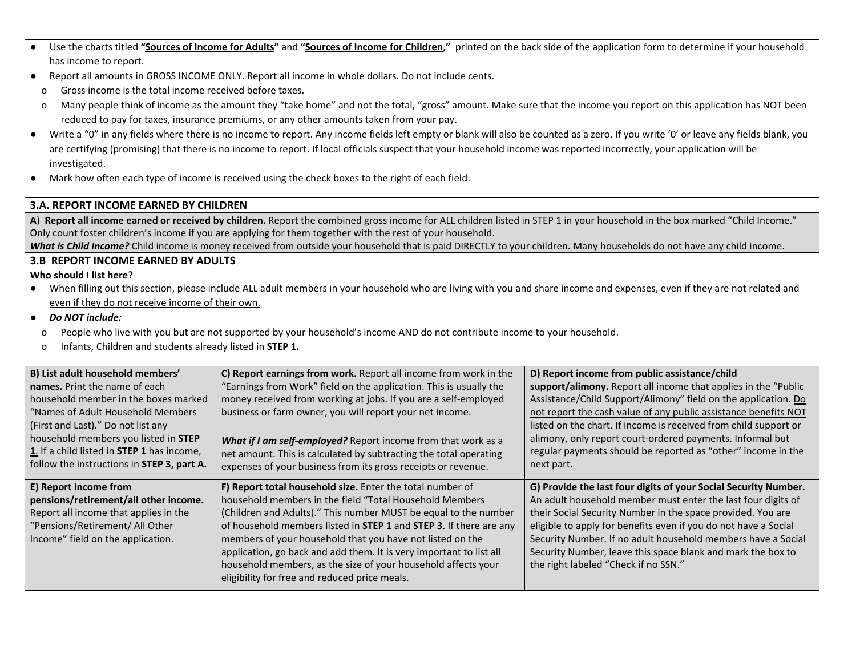- Use the charts titled "Sources of Income for Adults" and "Sources of Income for Children," printed on the back side of the application form to determine if your household has income to report.
- Report all amounts in GROSS INCOME ONLY. Report all income in whole dollars. Do not include cents.
	- o Gross income is the total income received before taxes.
	- o Many people think of income as the amount they "take home" and not the total, "gross" amount. Make sure that the income you report on this application has NOT been reduced to pay for taxes, insurance premiums, or any other amounts taken from your pay.
- Write a "0" in any fields where there is no income to report. Any income fields left empty or blank will also be counted as a zero. If you write '0' or leave any fields blank, you are certifying (promising) that there is no income to report. If local officials suspect that your household income was reported incorrectly, your application will be investigated.
- Mark how often each type of income is received using the check boxes to the right of each field.

#### **3.A. REPORT INCOME EARNED BY CHILDREN**

A) Report all income earned or received by children. Report the combined gross income for ALL children listed in STEP 1 in your household in the box marked "Child Income." Only count foster children's income if you are applying for them together with the rest of your household.

*What is Child Income?* Child income is money received from outside your household that is paid DIRECTLY to your children. Many households do not have any child income.

#### **3.B REPORT INCOME EARNED BY ADULTS**

#### **Who should I list here?**

- When filling out this section, please include ALL adult members in your household who are living with you and share income and expenses, even if they are not related and even if they do not receive income of their own.
- *● Do NOT include:*
- o People who live with you but are not supported by your household's income AND do not contribute income to your household.
- o Infants, Children and students already listed in **STEP 1.**

| B) List adult household members'                  | C) Report earnings from work. Report all income from work in the    | D) Report income from public assistance/child                    |  |
|---------------------------------------------------|---------------------------------------------------------------------|------------------------------------------------------------------|--|
| names. Print the name of each                     | "Earnings from Work" field on the application. This is usually the  | support/alimony. Report all income that applies in the "Public"  |  |
| household member in the boxes marked              | money received from working at jobs. If you are a self-employed     | Assistance/Child Support/Alimony" field on the application. Do   |  |
| "Names of Adult Household Members                 | business or farm owner, you will report your net income.            | not report the cash value of any public assistance benefits NOT  |  |
| (First and Last)." Do not list any                |                                                                     | listed on the chart. If income is received from child support or |  |
| household members you listed in <b>STEP</b>       | What if I am self-employed? Report income from that work as a       | alimony, only report court-ordered payments. Informal but        |  |
| 1. If a child listed in <b>STEP 1</b> has income, | net amount. This is calculated by subtracting the total operating   | regular payments should be reported as "other" income in the     |  |
| follow the instructions in STEP 3, part A.        | expenses of your business from its gross receipts or revenue.       | next part.                                                       |  |
|                                                   |                                                                     |                                                                  |  |
| E) Report income from                             | F) Report total household size. Enter the total number of           | G) Provide the last four digits of your Social Security Number.  |  |
| pensions/retirement/all other income.             | household members in the field "Total Household Members"            | An adult household member must enter the last four digits of     |  |
| Report all income that applies in the             | (Children and Adults)." This number MUST be equal to the number     | their Social Security Number in the space provided. You are      |  |
| "Pensions/Retirement/ All Other                   | of household members listed in STEP 1 and STEP 3. If there are any  | eligible to apply for benefits even if you do not have a Social  |  |
| Income" field on the application.                 | members of your household that you have not listed on the           | Security Number. If no adult household members have a Social     |  |
|                                                   | application, go back and add them. It is very important to list all | Security Number, leave this space blank and mark the box to      |  |
|                                                   | household members, as the size of your household affects your       | the right labeled "Check if no SSN."                             |  |
|                                                   | eligibility for free and reduced price meals.                       |                                                                  |  |